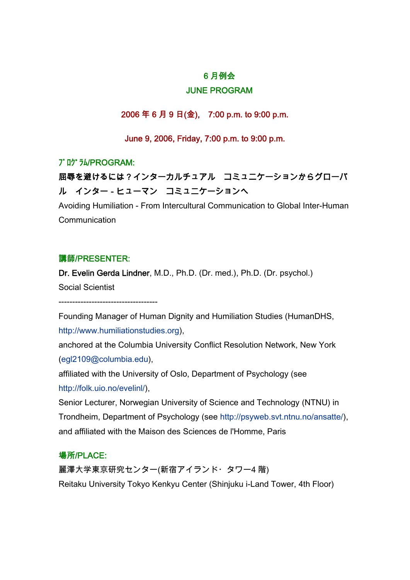## 6 月例会

## JUNE PROGRAM

2006 年 6 月 9 日(金), 7:00 p.m. to 9:00 p.m.

June 9, 2006, Friday, 7:00 p.m. to 9:00 p.m.

## プログラム/PROGRAM:

# 屈辱を避けるには?インターカルチュアル コミュニケーションからグローバ ル インター-ヒューマン コミュニケーションへ

Avoiding Humiliation - From Intercultural Communication to Global Inter-Human **Communication** 

### 講師/PRESENTER:

Dr. Evelin Gerda Lindner, M.D., Ph.D. (Dr. med.), Ph.D. (Dr. psychol.) Social Scientist

------------------------------------

Founding Manager of Human Dignity and Humiliation Studies (HumanDHS, [http://www.humiliationstudies.org](http://www.humiliationstudies.org/)),

anchored at the Columbia University Conflict Resolution Network, New York [\(egl2109@columbia.edu](http://us.f600.mail.yahoo.com/ym/Compose?To=egl2109@columbia.edu&YY=43871&y5beta=yes&order=&sort=&pos=0)),

affiliated with the University of Oslo, Department of Psychology (see <http://folk.uio.no/evelinl/>),

Senior Lecturer, Norwegian University of Science and Technology (NTNU) in Trondheim, Department of Psychology (see <http://psyweb.svt.ntnu.no/ansatte/>), and affiliated with the Maison des Sciences de l'Homme, Paris

## 場所/PLACE:

麗澤大学東京研究センター(新宿アイランド・タワー4 階) Reitaku University Tokyo Kenkyu Center (Shinjuku i-Land Tower, 4th Floor)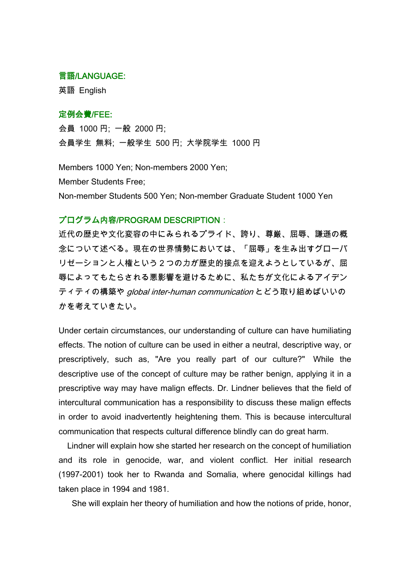#### 言語/LANGUAGE:

英語 English

### 定例会費/FEE:

会員 1000 円; 一般 2000 円; 会員学生 無料; 一般学生 500 円; 大学院学生 1000 円

Members 1000 Yen; Non-members 2000 Yen; Member Students Free; Non-member Students 500 Yen; Non-member Graduate Student 1000 Yen

## プログラム内容/PROGRAM DESCRIPTION:

近代の歴史や文化変容の中にみられるプライド、誇り、尊厳、屈辱、謙遜の概 念について述べる。現在の世界情勢においては、「屈辱」を生み出すグローバ リゼーションと人権という2つの力が歴史的接点を迎えようとしているが、屈 辱によってもたらされる悪影響を避けるために、私たちが文化によるアイデン ティティの構築や global inter-human communication とどう取り組めばいいの かを考えていきたい。

Under certain circumstances, our understanding of culture can have humiliating effects. The notion of culture can be used in either a neutral, descriptive way, or prescriptively, such as, "Are you really part of our culture?" While the descriptive use of the concept of culture may be rather benign, applying it in a prescriptive way may have malign effects. Dr. Lindner believes that the field of intercultural communication has a responsibility to discuss these malign effects in order to avoid inadvertently heightening them. This is because intercultural communication that respects cultural difference blindly can do great harm.

 Lindner will explain how she started her research on the concept of humiliation and its role in genocide, war, and violent conflict. Her initial research (1997-2001) took her to Rwanda and Somalia, where genocidal killings had taken place in 1994 and 1981.

She will explain her theory of humiliation and how the notions of pride, honor,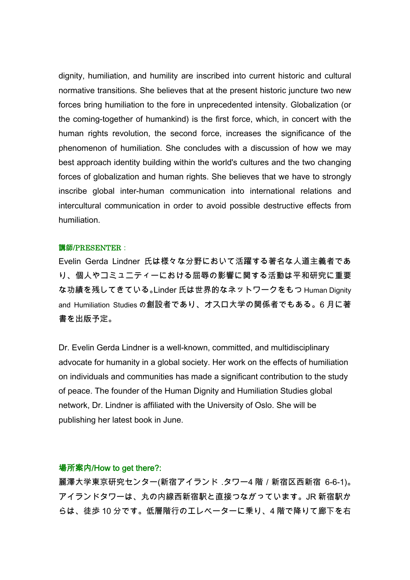dignity, humiliation, and humility are inscribed into current historic and cultural normative transitions. She believes that at the present historic juncture two new forces bring humiliation to the fore in unprecedented intensity. Globalization (or the coming-together of humankind) is the first force, which, in concert with the human rights revolution, the second force, increases the significance of the phenomenon of humiliation. She concludes with a discussion of how we may best approach identity building within the world's cultures and the two changing forces of globalization and human rights. She believes that we have to strongly inscribe global inter-human communication into international relations and intercultural communication in order to avoid possible destructive effects from humiliation.

#### 講師/PRESENTER:

Evelin Gerda Lindner 氏は様々な分野において活躍する著名な人道主義者であ り、個人やコミュニティーにおける屈辱の影響に関する活動は平和研究に重要 な功績を残してきている。Linder 氏は世界的なネットワークをもつ Human Dignity and Humiliation Studies の創設者であり、オスロ大学の関係者でもある。6 月に著 書を出版予定。

Dr. Evelin Gerda Lindner is a well-known, committed, and multidisciplinary advocate for humanity in a global society. Her work on the effects of humiliation on individuals and communities has made a significant contribution to the study of peace. The founder of the Human Dignity and Humiliation Studies global network, Dr. Lindner is affiliated with the University of Oslo. She will be publishing her latest book in June.

#### 場所案内/How to get there?:

麗澤大学東京研究センター(新宿アイランド.タワー4 階/新宿区西新宿 6-6-1)。 アイランドタワーは、丸の内線西新宿駅と直接つながっています。JR 新宿駅か らは、徒歩 10 分です。低層階行のエレベーターに乗り、4 階で降りて廊下を右